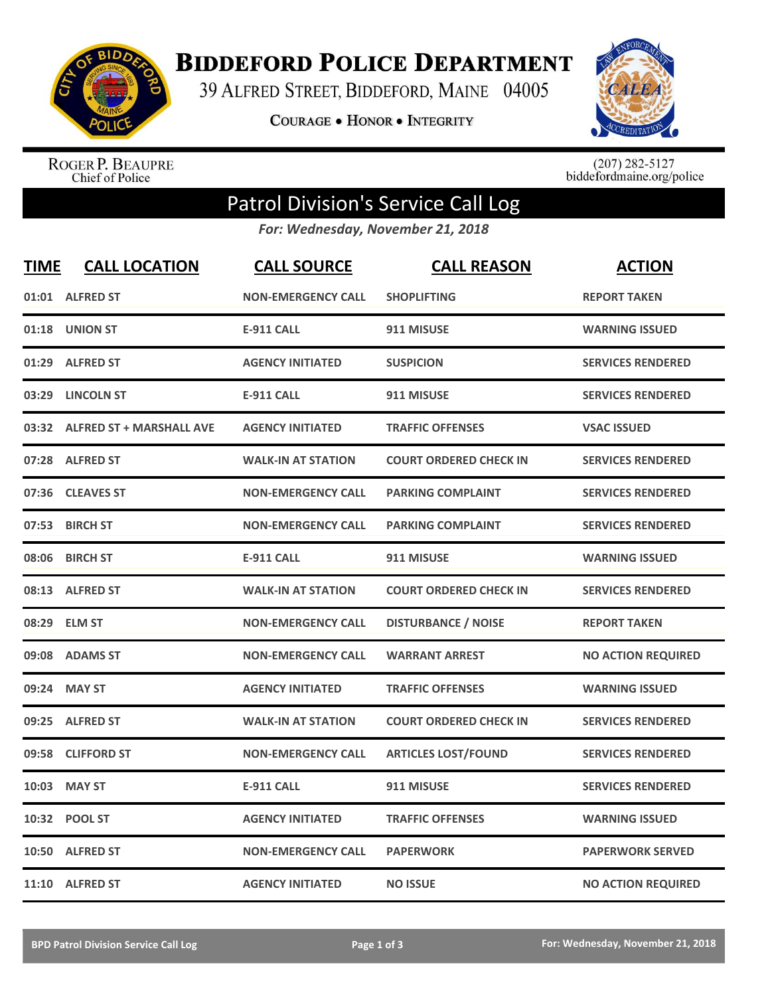

**BIDDEFORD POLICE DEPARTMENT** 

39 ALFRED STREET, BIDDEFORD, MAINE 04005

**COURAGE . HONOR . INTEGRITY** 



ROGER P. BEAUPRE<br>Chief of Police

 $(207)$  282-5127<br>biddefordmaine.org/police

## Patrol Division's Service Call Log

*For: Wednesday, November 21, 2018*

| <b>TIME</b> | <b>CALL LOCATION</b>           | <b>CALL SOURCE</b>        | <b>CALL REASON</b>            | <b>ACTION</b>             |
|-------------|--------------------------------|---------------------------|-------------------------------|---------------------------|
| 01:01       | <b>ALFRED ST</b>               | <b>NON-EMERGENCY CALL</b> | <b>SHOPLIFTING</b>            | <b>REPORT TAKEN</b>       |
|             | 01:18 UNION ST                 | <b>E-911 CALL</b>         | 911 MISUSE                    | <b>WARNING ISSUED</b>     |
| 01:29       | <b>ALFRED ST</b>               | <b>AGENCY INITIATED</b>   | <b>SUSPICION</b>              | <b>SERVICES RENDERED</b>  |
| 03:29       | <b>LINCOLN ST</b>              | <b>E-911 CALL</b>         | 911 MISUSE                    | <b>SERVICES RENDERED</b>  |
|             | 03:32 ALFRED ST + MARSHALL AVE | <b>AGENCY INITIATED</b>   | <b>TRAFFIC OFFENSES</b>       | <b>VSAC ISSUED</b>        |
|             | 07:28 ALFRED ST                | <b>WALK-IN AT STATION</b> | <b>COURT ORDERED CHECK IN</b> | <b>SERVICES RENDERED</b>  |
| 07:36       | <b>CLEAVES ST</b>              | <b>NON-EMERGENCY CALL</b> | <b>PARKING COMPLAINT</b>      | <b>SERVICES RENDERED</b>  |
| 07:53       | <b>BIRCH ST</b>                | <b>NON-EMERGENCY CALL</b> | <b>PARKING COMPLAINT</b>      | <b>SERVICES RENDERED</b>  |
| 08:06       | <b>BIRCH ST</b>                | <b>E-911 CALL</b>         | 911 MISUSE                    | <b>WARNING ISSUED</b>     |
|             | 08:13 ALFRED ST                | <b>WALK-IN AT STATION</b> | <b>COURT ORDERED CHECK IN</b> | <b>SERVICES RENDERED</b>  |
|             | 08:29 ELM ST                   | <b>NON-EMERGENCY CALL</b> | <b>DISTURBANCE / NOISE</b>    | <b>REPORT TAKEN</b>       |
|             | 09:08 ADAMS ST                 | <b>NON-EMERGENCY CALL</b> | <b>WARRANT ARREST</b>         | <b>NO ACTION REQUIRED</b> |
| 09:24       | <b>MAY ST</b>                  | <b>AGENCY INITIATED</b>   | <b>TRAFFIC OFFENSES</b>       | <b>WARNING ISSUED</b>     |
| 09:25       | <b>ALFRED ST</b>               | <b>WALK-IN AT STATION</b> | <b>COURT ORDERED CHECK IN</b> | <b>SERVICES RENDERED</b>  |
| 09:58       | <b>CLIFFORD ST</b>             | <b>NON-EMERGENCY CALL</b> | <b>ARTICLES LOST/FOUND</b>    | <b>SERVICES RENDERED</b>  |
| 10:03       | <b>MAY ST</b>                  | <b>E-911 CALL</b>         | 911 MISUSE                    | <b>SERVICES RENDERED</b>  |
|             | 10:32 POOL ST                  | <b>AGENCY INITIATED</b>   | <b>TRAFFIC OFFENSES</b>       | <b>WARNING ISSUED</b>     |
| 10:50       | <b>ALFRED ST</b>               | <b>NON-EMERGENCY CALL</b> | <b>PAPERWORK</b>              | <b>PAPERWORK SERVED</b>   |
|             | 11:10 ALFRED ST                | <b>AGENCY INITIATED</b>   | <b>NO ISSUE</b>               | <b>NO ACTION REQUIRED</b> |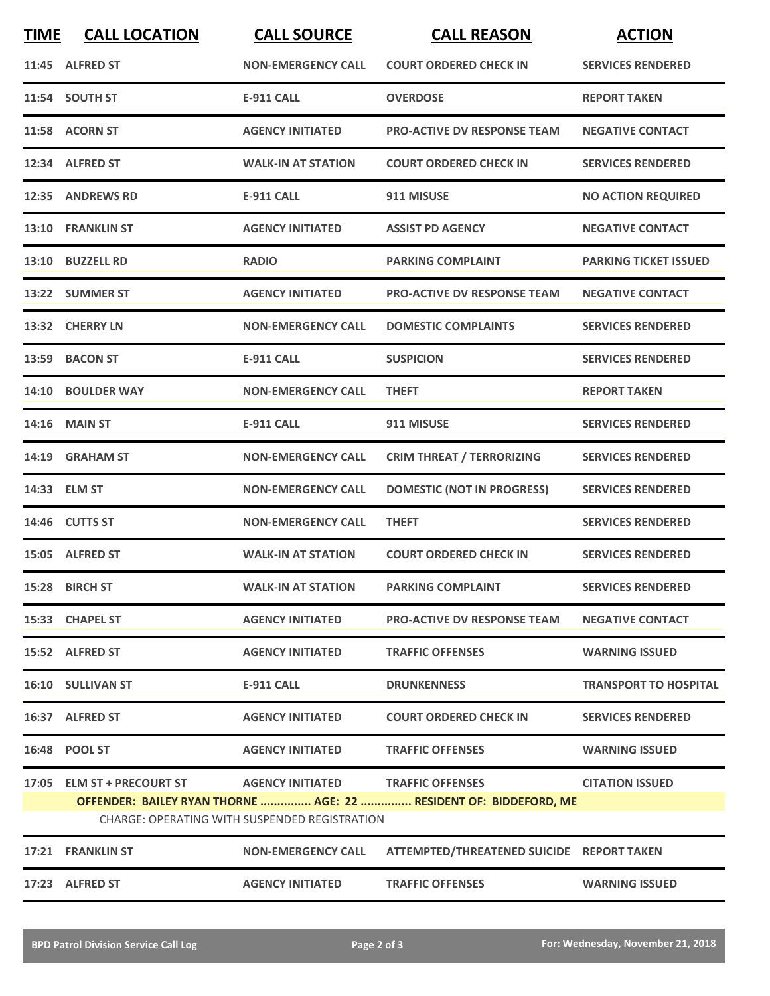| <b>TIME</b> | <b>CALL LOCATION</b>                                         | <b>CALL SOURCE</b>                                   | <b>CALL REASON</b>                                                | <b>ACTION</b>                |
|-------------|--------------------------------------------------------------|------------------------------------------------------|-------------------------------------------------------------------|------------------------------|
|             | 11:45 ALFRED ST                                              | <b>NON-EMERGENCY CALL</b>                            | <b>COURT ORDERED CHECK IN</b>                                     | <b>SERVICES RENDERED</b>     |
|             | 11:54 SOUTH ST                                               | <b>E-911 CALL</b>                                    | <b>OVERDOSE</b>                                                   | <b>REPORT TAKEN</b>          |
|             | 11:58 ACORN ST                                               | <b>AGENCY INITIATED</b>                              | <b>PRO-ACTIVE DV RESPONSE TEAM</b>                                | <b>NEGATIVE CONTACT</b>      |
|             | 12:34 ALFRED ST                                              | <b>WALK-IN AT STATION</b>                            | <b>COURT ORDERED CHECK IN</b>                                     | <b>SERVICES RENDERED</b>     |
|             | 12:35 ANDREWS RD                                             | <b>E-911 CALL</b>                                    | 911 MISUSE                                                        | <b>NO ACTION REQUIRED</b>    |
|             | 13:10 FRANKLIN ST                                            | <b>AGENCY INITIATED</b>                              | <b>ASSIST PD AGENCY</b>                                           | <b>NEGATIVE CONTACT</b>      |
|             | 13:10 BUZZELL RD                                             | <b>RADIO</b>                                         | <b>PARKING COMPLAINT</b>                                          | <b>PARKING TICKET ISSUED</b> |
|             | 13:22 SUMMER ST                                              | <b>AGENCY INITIATED</b>                              | <b>PRO-ACTIVE DV RESPONSE TEAM</b>                                | <b>NEGATIVE CONTACT</b>      |
|             | 13:32 CHERRY LN                                              | <b>NON-EMERGENCY CALL</b>                            | <b>DOMESTIC COMPLAINTS</b>                                        | <b>SERVICES RENDERED</b>     |
|             | 13:59 BACON ST                                               | <b>E-911 CALL</b>                                    | <b>SUSPICION</b>                                                  | <b>SERVICES RENDERED</b>     |
|             | 14:10 BOULDER WAY                                            | <b>NON-EMERGENCY CALL</b>                            | <b>THEFT</b>                                                      | <b>REPORT TAKEN</b>          |
|             | 14:16 MAIN ST                                                | <b>E-911 CALL</b>                                    | 911 MISUSE                                                        | <b>SERVICES RENDERED</b>     |
|             | 14:19 GRAHAM ST                                              | <b>NON-EMERGENCY CALL</b>                            | <b>CRIM THREAT / TERRORIZING</b>                                  | <b>SERVICES RENDERED</b>     |
|             | 14:33 ELM ST                                                 | <b>NON-EMERGENCY CALL</b>                            | <b>DOMESTIC (NOT IN PROGRESS)</b>                                 | <b>SERVICES RENDERED</b>     |
|             | 14:46 CUTTS ST                                               | <b>NON-EMERGENCY CALL</b>                            | <b>THEFT</b>                                                      | <b>SERVICES RENDERED</b>     |
|             | 15:05 ALFRED ST                                              | <b>WALK-IN AT STATION</b>                            | <b>COURT ORDERED CHECK IN</b>                                     | <b>SERVICES RENDERED</b>     |
|             | 15:28 BIRCH ST                                               | <b>WALK-IN AT STATION</b>                            | <b>PARKING COMPLAINT</b>                                          | <b>SERVICES RENDERED</b>     |
|             | 15:33 CHAPEL ST                                              | <b>AGENCY INITIATED</b>                              | <b>PRO-ACTIVE DV RESPONSE TEAM</b>                                | <b>NEGATIVE CONTACT</b>      |
|             | 15:52 ALFRED ST                                              | <b>AGENCY INITIATED</b>                              | <b>TRAFFIC OFFENSES</b>                                           | <b>WARNING ISSUED</b>        |
|             | 16:10 SULLIVAN ST                                            | <b>E-911 CALL</b>                                    | <b>DRUNKENNESS</b>                                                | <b>TRANSPORT TO HOSPITAL</b> |
|             | 16:37 ALFRED ST                                              | <b>AGENCY INITIATED</b>                              | <b>COURT ORDERED CHECK IN</b>                                     | <b>SERVICES RENDERED</b>     |
|             | 16:48 POOL ST                                                | <b>AGENCY INITIATED</b>                              | <b>TRAFFIC OFFENSES</b>                                           | <b>WARNING ISSUED</b>        |
|             | 17:05 ELM ST + PRECOURT ST AGENCY INITIATED TRAFFIC OFFENSES |                                                      |                                                                   | <b>CITATION ISSUED</b>       |
|             |                                                              | <b>CHARGE: OPERATING WITH SUSPENDED REGISTRATION</b> | OFFENDER: BAILEY RYAN THORNE  AGE: 22  RESIDENT OF: BIDDEFORD, ME |                              |
|             | 17:21 FRANKLIN ST                                            | <b>NON-EMERGENCY CALL</b>                            | ATTEMPTED/THREATENED SUICIDE REPORT TAKEN                         |                              |
|             | 17:23 ALFRED ST                                              | <b>AGENCY INITIATED</b>                              | <b>TRAFFIC OFFENSES</b>                                           | <b>WARNING ISSUED</b>        |